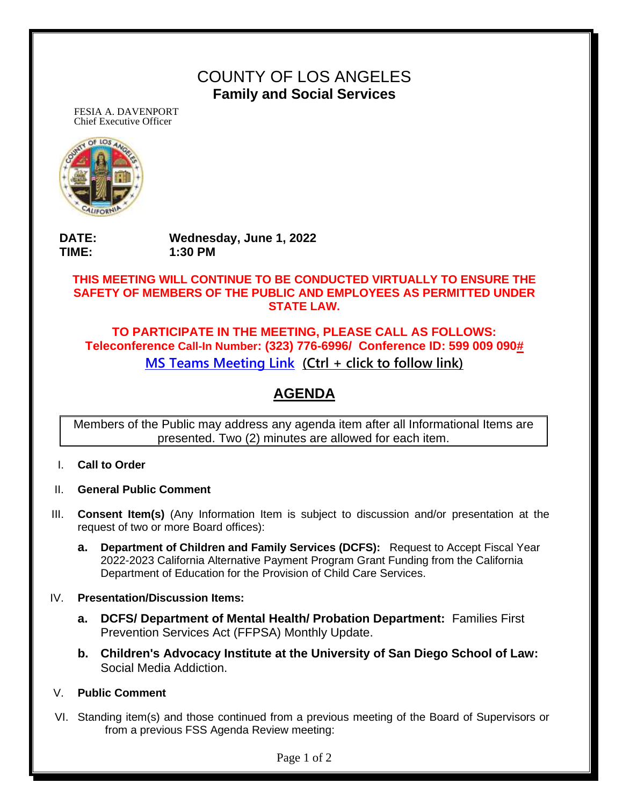## COUNTY OF LOS ANGELES **Family and Social Services**

FESIA A. DAVENPORT Chief Executive Officer



**DATE: Wednesday, June 1, 2022 TIME: 1:30 PM**

### **THIS MEETING WILL CONTINUE TO BE CONDUCTED VIRTUALLY TO ENSURE THE SAFETY OF MEMBERS OF THE PUBLIC AND EMPLOYEES AS PERMITTED UNDER STATE LAW.**

## **TO PARTICIPATE IN THE MEETING, PLEASE CALL AS FOLLOWS: Teleconference Call-In Number: (323) 776-6996/ Conference ID: 599 009 090# [MS Teams Meeting Link](https://teams.microsoft.com/l/meetup-join/19%3ameeting_NGU5ZWMyZjItMGU0OS00NzBjLTg4OWItOGZkYmY2MDZmMWUx%40thread.v2/0?context=%7b%22Tid%22%3a%2207597248-ea38-451b-8abe-a638eddbac81%22%2c%22Oid%22%3a%227c751d30-f427-4459-8b7e-5502e0cc4fd3%22%7d) (Ctrl + click to follow link)**

# **AGENDA**

Members of the Public may address any agenda item after all Informational Items are presented. Two (2) minutes are allowed for each item.

- I. **Call to Order**
- II. **General Public Comment**
- III. **Consent Item(s)** (Any Information Item is subject to discussion and/or presentation at the request of two or more Board offices):
	- **a. Department of Children and Family Services (DCFS):** Request to Accept Fiscal Year 2022-2023 California Alternative Payment Program Grant Funding from the California Department of Education for the Provision of Child Care Services.

#### IV. **Presentation/Discussion Items:**

- **a. DCFS/ Department of Mental Health/ Probation Department:** Families First Prevention Services Act (FFPSA) Monthly Update.
- **b. Children's Advocacy Institute at the University of San Diego School of Law:** Social Media Addiction.
- V. **Public Comment**
- VI. Standing item(s) and those continued from a previous meeting of the Board of Supervisors or from a previous FSS Agenda Review meeting:

Page 1 of 2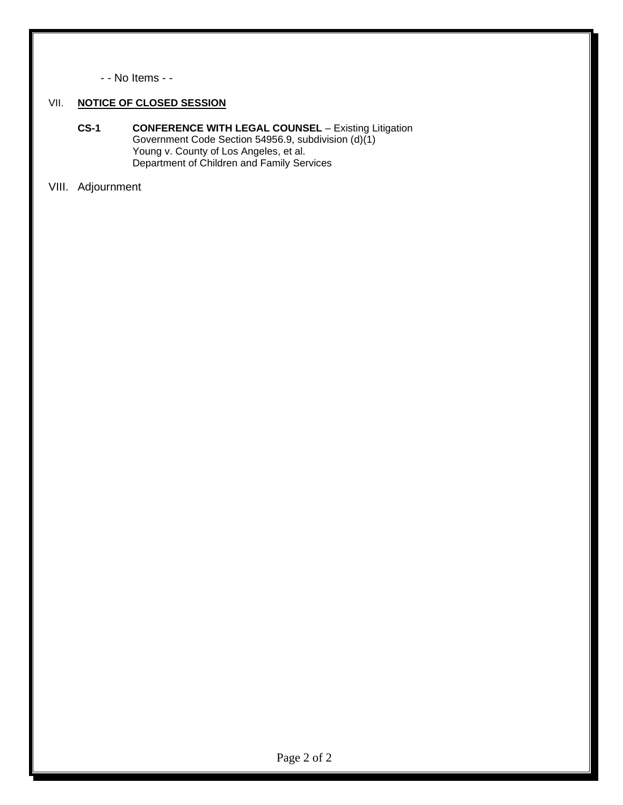- - No Items - -

#### VII. **NOTICE OF CLOSED SESSION**

- **CS-1 CONFERENCE WITH LEGAL COUNSEL** Existing Litigation Government Code Section 54956.9, subdivision (d)(1) Young v. County of Los Angeles, et al. Department of Children and Family Services
- VIII. Adjournment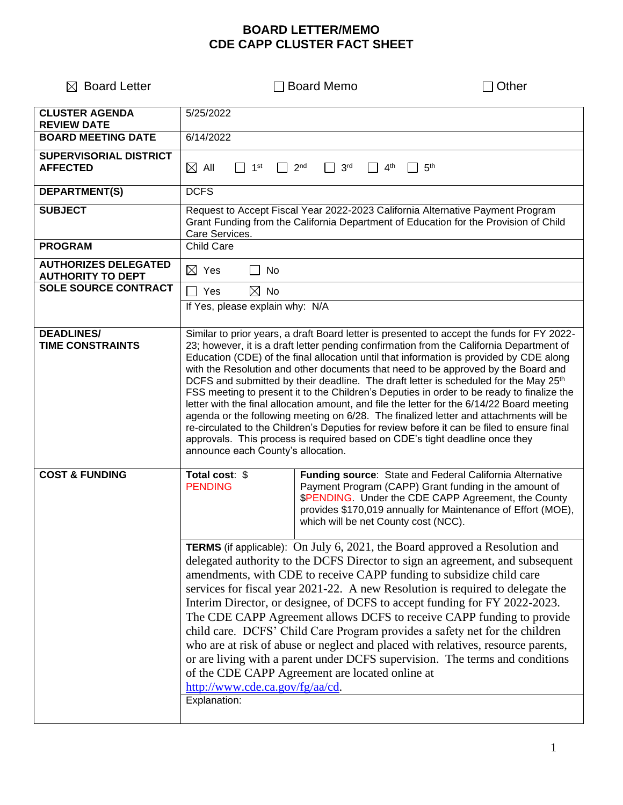## **BOARD LETTER/MEMO CDE CAPP CLUSTER FACT SHEET**

| $\boxtimes$ Board Letter                                | <b>Board Memo</b>                                                                                                                                                                                                                                                                                                                                                                                                                                                                                                                                                                                                                                                                                                                                                                                                                                                                                                                                                                 |                                                                                                                                                                                                                                                                                  | Other |
|---------------------------------------------------------|-----------------------------------------------------------------------------------------------------------------------------------------------------------------------------------------------------------------------------------------------------------------------------------------------------------------------------------------------------------------------------------------------------------------------------------------------------------------------------------------------------------------------------------------------------------------------------------------------------------------------------------------------------------------------------------------------------------------------------------------------------------------------------------------------------------------------------------------------------------------------------------------------------------------------------------------------------------------------------------|----------------------------------------------------------------------------------------------------------------------------------------------------------------------------------------------------------------------------------------------------------------------------------|-------|
| <b>CLUSTER AGENDA</b><br><b>REVIEW DATE</b>             | 5/25/2022                                                                                                                                                                                                                                                                                                                                                                                                                                                                                                                                                                                                                                                                                                                                                                                                                                                                                                                                                                         |                                                                                                                                                                                                                                                                                  |       |
| <b>BOARD MEETING DATE</b>                               | 6/14/2022                                                                                                                                                                                                                                                                                                                                                                                                                                                                                                                                                                                                                                                                                                                                                                                                                                                                                                                                                                         |                                                                                                                                                                                                                                                                                  |       |
| <b>SUPERVISORIAL DISTRICT</b><br><b>AFFECTED</b>        | $\boxtimes$ ail<br>1 <sup>st</sup><br>2 <sub>nd</sub>                                                                                                                                                                                                                                                                                                                                                                                                                                                                                                                                                                                                                                                                                                                                                                                                                                                                                                                             | 3 <sup>rd</sup><br>4 <sup>th</sup><br>5 <sup>th</sup>                                                                                                                                                                                                                            |       |
| <b>DEPARTMENT(S)</b>                                    | <b>DCFS</b>                                                                                                                                                                                                                                                                                                                                                                                                                                                                                                                                                                                                                                                                                                                                                                                                                                                                                                                                                                       |                                                                                                                                                                                                                                                                                  |       |
| <b>SUBJECT</b>                                          | Request to Accept Fiscal Year 2022-2023 California Alternative Payment Program<br>Grant Funding from the California Department of Education for the Provision of Child<br>Care Services.                                                                                                                                                                                                                                                                                                                                                                                                                                                                                                                                                                                                                                                                                                                                                                                          |                                                                                                                                                                                                                                                                                  |       |
| <b>PROGRAM</b>                                          | Child Care                                                                                                                                                                                                                                                                                                                                                                                                                                                                                                                                                                                                                                                                                                                                                                                                                                                                                                                                                                        |                                                                                                                                                                                                                                                                                  |       |
| <b>AUTHORIZES DELEGATED</b><br><b>AUTHORITY TO DEPT</b> | $\boxtimes$ Yes<br>No                                                                                                                                                                                                                                                                                                                                                                                                                                                                                                                                                                                                                                                                                                                                                                                                                                                                                                                                                             |                                                                                                                                                                                                                                                                                  |       |
| <b>SOLE SOURCE CONTRACT</b>                             | $\boxtimes$ No<br>l I Yes                                                                                                                                                                                                                                                                                                                                                                                                                                                                                                                                                                                                                                                                                                                                                                                                                                                                                                                                                         |                                                                                                                                                                                                                                                                                  |       |
|                                                         | If Yes, please explain why: N/A                                                                                                                                                                                                                                                                                                                                                                                                                                                                                                                                                                                                                                                                                                                                                                                                                                                                                                                                                   |                                                                                                                                                                                                                                                                                  |       |
| <b>DEADLINES/</b><br><b>TIME CONSTRAINTS</b>            | Similar to prior years, a draft Board letter is presented to accept the funds for FY 2022-<br>23; however, it is a draft letter pending confirmation from the California Department of<br>Education (CDE) of the final allocation until that information is provided by CDE along<br>with the Resolution and other documents that need to be approved by the Board and<br>DCFS and submitted by their deadline. The draft letter is scheduled for the May 25 <sup>th</sup><br>FSS meeting to present it to the Children's Deputies in order to be ready to finalize the<br>letter with the final allocation amount, and file the letter for the 6/14/22 Board meeting<br>agenda or the following meeting on 6/28. The finalized letter and attachments will be<br>re-circulated to the Children's Deputies for review before it can be filed to ensure final<br>approvals. This process is required based on CDE's tight deadline once they<br>announce each County's allocation. |                                                                                                                                                                                                                                                                                  |       |
| <b>COST &amp; FUNDING</b>                               | Total cost: \$<br><b>PENDING</b>                                                                                                                                                                                                                                                                                                                                                                                                                                                                                                                                                                                                                                                                                                                                                                                                                                                                                                                                                  | Funding source: State and Federal California Alternative<br>Payment Program (CAPP) Grant funding in the amount of<br>\$PENDING. Under the CDE CAPP Agreement, the County<br>provides \$170,019 annually for Maintenance of Effort (MOE),<br>which will be net County cost (NCC). |       |
|                                                         | <b>TERMS</b> (if applicable): On July 6, 2021, the Board approved a Resolution and<br>delegated authority to the DCFS Director to sign an agreement, and subsequent<br>amendments, with CDE to receive CAPP funding to subsidize child care<br>services for fiscal year 2021-22. A new Resolution is required to delegate the<br>Interim Director, or designee, of DCFS to accept funding for FY 2022-2023.<br>The CDE CAPP Agreement allows DCFS to receive CAPP funding to provide<br>child care. DCFS' Child Care Program provides a safety net for the children<br>who are at risk of abuse or neglect and placed with relatives, resource parents,<br>or are living with a parent under DCFS supervision. The terms and conditions<br>of the CDE CAPP Agreement are located online at<br>http://www.cde.ca.gov/fg/aa/cd.<br>Explanation:                                                                                                                                     |                                                                                                                                                                                                                                                                                  |       |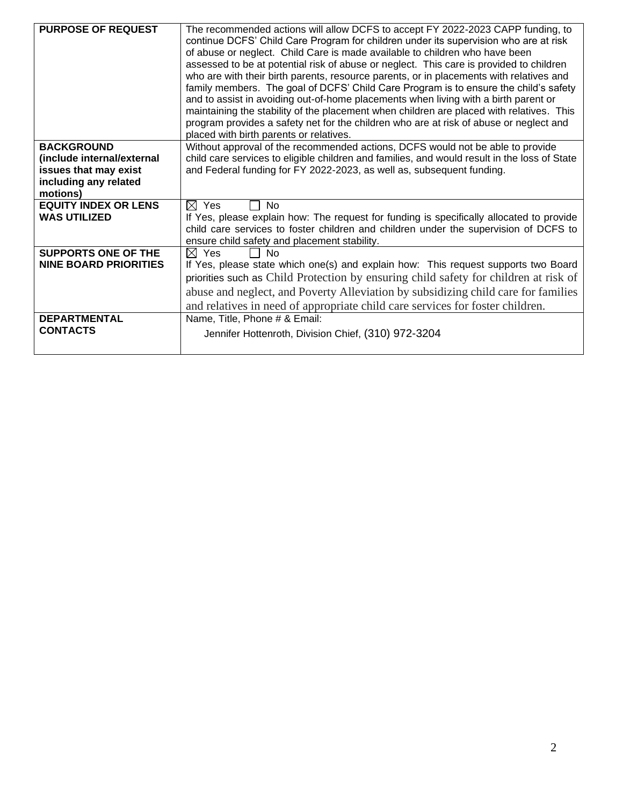| <b>PURPOSE OF REQUEST</b>    | The recommended actions will allow DCFS to accept FY 2022-2023 CAPP funding, to<br>continue DCFS' Child Care Program for children under its supervision who are at risk<br>of abuse or neglect. Child Care is made available to children who have been<br>assessed to be at potential risk of abuse or neglect. This care is provided to children<br>who are with their birth parents, resource parents, or in placements with relatives and<br>family members. The goal of DCFS' Child Care Program is to ensure the child's safety<br>and to assist in avoiding out-of-home placements when living with a birth parent or<br>maintaining the stability of the placement when children are placed with relatives. This<br>program provides a safety net for the children who are at risk of abuse or neglect and<br>placed with birth parents or relatives. |
|------------------------------|--------------------------------------------------------------------------------------------------------------------------------------------------------------------------------------------------------------------------------------------------------------------------------------------------------------------------------------------------------------------------------------------------------------------------------------------------------------------------------------------------------------------------------------------------------------------------------------------------------------------------------------------------------------------------------------------------------------------------------------------------------------------------------------------------------------------------------------------------------------|
| <b>BACKGROUND</b>            | Without approval of the recommended actions, DCFS would not be able to provide                                                                                                                                                                                                                                                                                                                                                                                                                                                                                                                                                                                                                                                                                                                                                                               |
| (include internal/external   | child care services to eligible children and families, and would result in the loss of State                                                                                                                                                                                                                                                                                                                                                                                                                                                                                                                                                                                                                                                                                                                                                                 |
| issues that may exist        | and Federal funding for FY 2022-2023, as well as, subsequent funding.                                                                                                                                                                                                                                                                                                                                                                                                                                                                                                                                                                                                                                                                                                                                                                                        |
| including any related        |                                                                                                                                                                                                                                                                                                                                                                                                                                                                                                                                                                                                                                                                                                                                                                                                                                                              |
| motions)                     |                                                                                                                                                                                                                                                                                                                                                                                                                                                                                                                                                                                                                                                                                                                                                                                                                                                              |
| <b>EQUITY INDEX OR LENS</b>  | $\boxtimes$ Yes<br><b>No</b>                                                                                                                                                                                                                                                                                                                                                                                                                                                                                                                                                                                                                                                                                                                                                                                                                                 |
| <b>WAS UTILIZED</b>          | If Yes, please explain how: The request for funding is specifically allocated to provide                                                                                                                                                                                                                                                                                                                                                                                                                                                                                                                                                                                                                                                                                                                                                                     |
|                              | child care services to foster children and children under the supervision of DCFS to                                                                                                                                                                                                                                                                                                                                                                                                                                                                                                                                                                                                                                                                                                                                                                         |
|                              | ensure child safety and placement stability.                                                                                                                                                                                                                                                                                                                                                                                                                                                                                                                                                                                                                                                                                                                                                                                                                 |
| <b>SUPPORTS ONE OF THE</b>   | $\boxtimes$ Yes<br><b>No</b>                                                                                                                                                                                                                                                                                                                                                                                                                                                                                                                                                                                                                                                                                                                                                                                                                                 |
| <b>NINE BOARD PRIORITIES</b> | If Yes, please state which one(s) and explain how: This request supports two Board                                                                                                                                                                                                                                                                                                                                                                                                                                                                                                                                                                                                                                                                                                                                                                           |
|                              | priorities such as Child Protection by ensuring child safety for children at risk of                                                                                                                                                                                                                                                                                                                                                                                                                                                                                                                                                                                                                                                                                                                                                                         |
|                              | abuse and neglect, and Poverty Alleviation by subsidizing child care for families                                                                                                                                                                                                                                                                                                                                                                                                                                                                                                                                                                                                                                                                                                                                                                            |
|                              |                                                                                                                                                                                                                                                                                                                                                                                                                                                                                                                                                                                                                                                                                                                                                                                                                                                              |
|                              | and relatives in need of appropriate child care services for foster children.                                                                                                                                                                                                                                                                                                                                                                                                                                                                                                                                                                                                                                                                                                                                                                                |
| <b>DEPARTMENTAL</b>          | Name, Title, Phone # & Email:                                                                                                                                                                                                                                                                                                                                                                                                                                                                                                                                                                                                                                                                                                                                                                                                                                |
| <b>CONTACTS</b>              | Jennifer Hottenroth, Division Chief, (310) 972-3204                                                                                                                                                                                                                                                                                                                                                                                                                                                                                                                                                                                                                                                                                                                                                                                                          |
|                              |                                                                                                                                                                                                                                                                                                                                                                                                                                                                                                                                                                                                                                                                                                                                                                                                                                                              |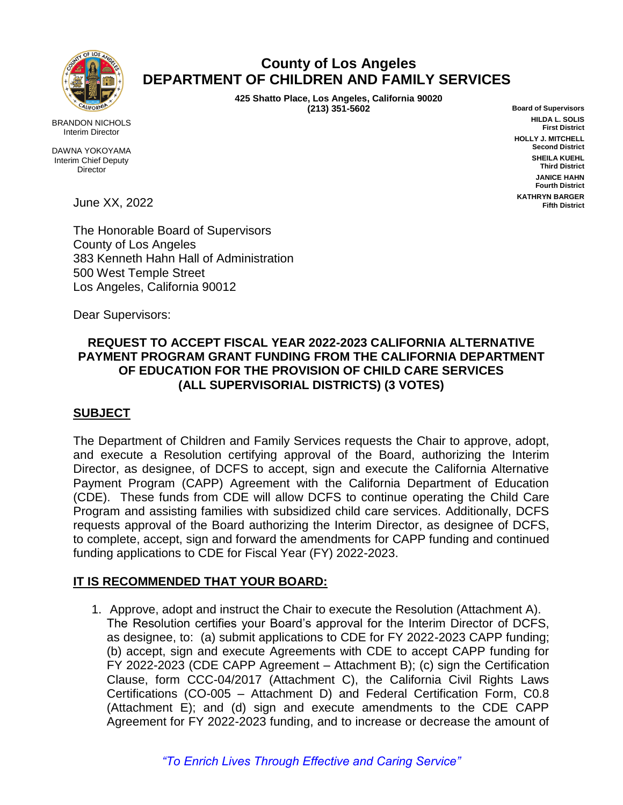

## **County of Los Angeles DEPARTMENT OF CHILDREN AND FAMILY SERVICES**

 **425 Shatto Place, Los Angeles, California 90020 (213) 351-5602**

**Board of Supervisors HILDA L. SOLIS First District HOLLY J. MITCHELL Second District SHEILA KUEHL Third District JANICE HAHN Fourth District KATHRYN BARGER Fifth District**

BRANDON NICHOLS Interim Director

DAWNA YOKOYAMA Interim Chief Deputy **Director** 

June XX, 2022

The Honorable Board of Supervisors County of Los Angeles 383 Kenneth Hahn Hall of Administration 500 West Temple Street Los Angeles, California 90012

Dear Supervisors:

## **REQUEST TO ACCEPT FISCAL YEAR 2022-2023 CALIFORNIA ALTERNATIVE PAYMENT PROGRAM GRANT FUNDING FROM THE CALIFORNIA DEPARTMENT OF EDUCATION FOR THE PROVISION OF CHILD CARE SERVICES (ALL SUPERVISORIAL DISTRICTS) (3 VOTES)**

## **SUBJECT**

The Department of Children and Family Services requests the Chair to approve, adopt, and execute a Resolution certifying approval of the Board, authorizing the Interim Director, as designee, of DCFS to accept, sign and execute the California Alternative Payment Program (CAPP) Agreement with the California Department of Education (CDE). These funds from CDE will allow DCFS to continue operating the Child Care Program and assisting families with subsidized child care services. Additionally, DCFS requests approval of the Board authorizing the Interim Director, as designee of DCFS, to complete, accept, sign and forward the amendments for CAPP funding and continued funding applications to CDE for Fiscal Year (FY) 2022-2023.

## **IT IS RECOMMENDED THAT YOUR BOARD:**

1. Approve, adopt and instruct the Chair to execute the Resolution (Attachment A). The Resolution certifies your Board's approval for the Interim Director of DCFS, as designee, to: (a) submit applications to CDE for FY 2022-2023 CAPP funding; (b) accept, sign and execute Agreements with CDE to accept CAPP funding for FY 2022-2023 (CDE CAPP Agreement – Attachment B); (c) sign the Certification Clause, form CCC-04/2017 (Attachment C), the California Civil Rights Laws Certifications (CO-005 – Attachment D) and Federal Certification Form, C0.8 (Attachment E); and (d) sign and execute amendments to the CDE CAPP Agreement for FY 2022-2023 funding, and to increase or decrease the amount of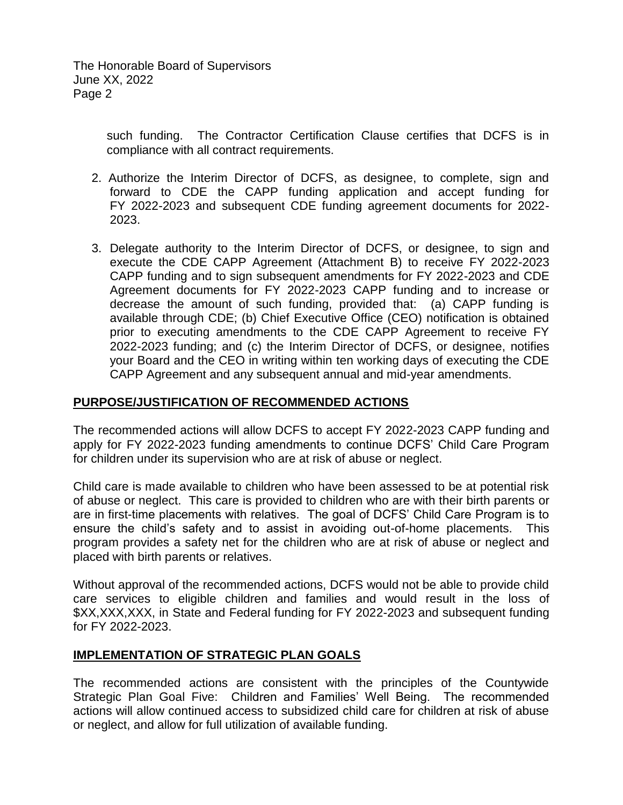The Honorable Board of Supervisors June XX, 2022 Page 2

> such funding. The Contractor Certification Clause certifies that DCFS is in compliance with all contract requirements.

- 2. Authorize the Interim Director of DCFS, as designee, to complete, sign and forward to CDE the CAPP funding application and accept funding for FY 2022-2023 and subsequent CDE funding agreement documents for 2022- 2023.
- 3. Delegate authority to the Interim Director of DCFS, or designee, to sign and execute the CDE CAPP Agreement (Attachment B) to receive FY 2022-2023 CAPP funding and to sign subsequent amendments for FY 2022-2023 and CDE Agreement documents for FY 2022-2023 CAPP funding and to increase or decrease the amount of such funding, provided that: (a) CAPP funding is available through CDE; (b) Chief Executive Office (CEO) notification is obtained prior to executing amendments to the CDE CAPP Agreement to receive FY 2022-2023 funding; and (c) the Interim Director of DCFS, or designee, notifies your Board and the CEO in writing within ten working days of executing the CDE CAPP Agreement and any subsequent annual and mid-year amendments.

## **PURPOSE/JUSTIFICATION OF RECOMMENDED ACTIONS**

The recommended actions will allow DCFS to accept FY 2022-2023 CAPP funding and apply for FY 2022-2023 funding amendments to continue DCFS' Child Care Program for children under its supervision who are at risk of abuse or neglect.

Child care is made available to children who have been assessed to be at potential risk of abuse or neglect. This care is provided to children who are with their birth parents or are in first-time placements with relatives. The goal of DCFS' Child Care Program is to ensure the child's safety and to assist in avoiding out-of-home placements. This program provides a safety net for the children who are at risk of abuse or neglect and placed with birth parents or relatives.

Without approval of the recommended actions, DCFS would not be able to provide child care services to eligible children and families and would result in the loss of \$XX,XXX,XXX, in State and Federal funding for FY 2022-2023 and subsequent funding for FY 2022-2023.

#### **IMPLEMENTATION OF STRATEGIC PLAN GOALS**

The recommended actions are consistent with the principles of the Countywide Strategic Plan Goal Five: Children and Families' Well Being. The recommended actions will allow continued access to subsidized child care for children at risk of abuse or neglect, and allow for full utilization of available funding.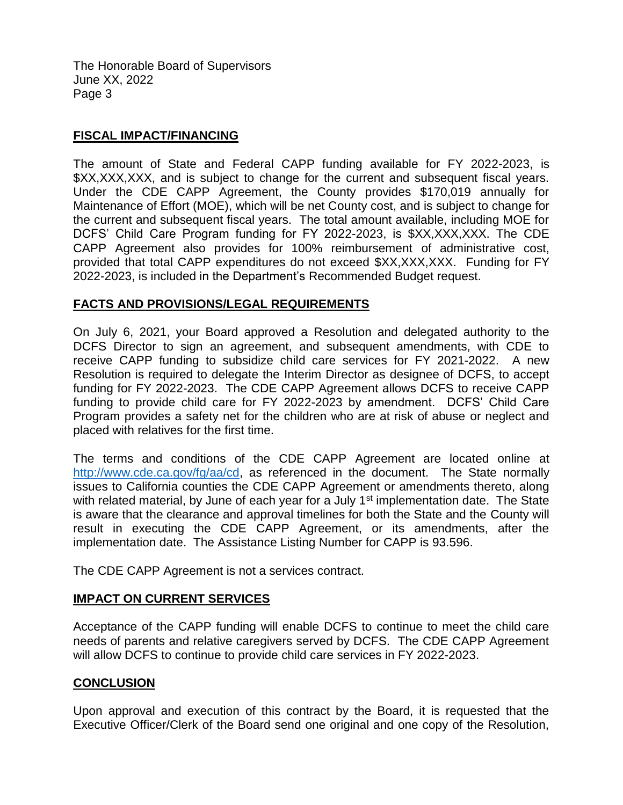The Honorable Board of Supervisors June XX, 2022 Page 3

#### **FISCAL IMPACT/FINANCING**

The amount of State and Federal CAPP funding available for FY 2022-2023, is \$XX,XXX,XXX, and is subject to change for the current and subsequent fiscal years. Under the CDE CAPP Agreement, the County provides \$170,019 annually for Maintenance of Effort (MOE), which will be net County cost, and is subject to change for the current and subsequent fiscal years. The total amount available, including MOE for DCFS' Child Care Program funding for FY 2022-2023, is \$XX,XXX,XXX. The CDE CAPP Agreement also provides for 100% reimbursement of administrative cost, provided that total CAPP expenditures do not exceed \$XX,XXX,XXX. Funding for FY 2022-2023, is included in the Department's Recommended Budget request.

#### **FACTS AND PROVISIONS/LEGAL REQUIREMENTS**

On July 6, 2021, your Board approved a Resolution and delegated authority to the DCFS Director to sign an agreement, and subsequent amendments, with CDE to receive CAPP funding to subsidize child care services for FY 2021-2022. A new Resolution is required to delegate the Interim Director as designee of DCFS, to accept funding for FY 2022-2023. The CDE CAPP Agreement allows DCFS to receive CAPP funding to provide child care for FY 2022-2023 by amendment. DCFS' Child Care Program provides a safety net for the children who are at risk of abuse or neglect and placed with relatives for the first time.

The terms and conditions of the CDE CAPP Agreement are located online at [http://www.cde.ca.gov/fg/aa/cd,](http://www.cde.ca.gov/fg/aa/cd) as referenced in the document. The State normally issues to California counties the CDE CAPP Agreement or amendments thereto, along with related material, by June of each year for a July 1<sup>st</sup> implementation date. The State is aware that the clearance and approval timelines for both the State and the County will result in executing the CDE CAPP Agreement, or its amendments, after the implementation date. The Assistance Listing Number for CAPP is 93.596.

The CDE CAPP Agreement is not a services contract.

#### **IMPACT ON CURRENT SERVICES**

Acceptance of the CAPP funding will enable DCFS to continue to meet the child care needs of parents and relative caregivers served by DCFS. The CDE CAPP Agreement will allow DCFS to continue to provide child care services in FY 2022-2023.

#### **CONCLUSION**

Upon approval and execution of this contract by the Board, it is requested that the Executive Officer/Clerk of the Board send one original and one copy of the Resolution,